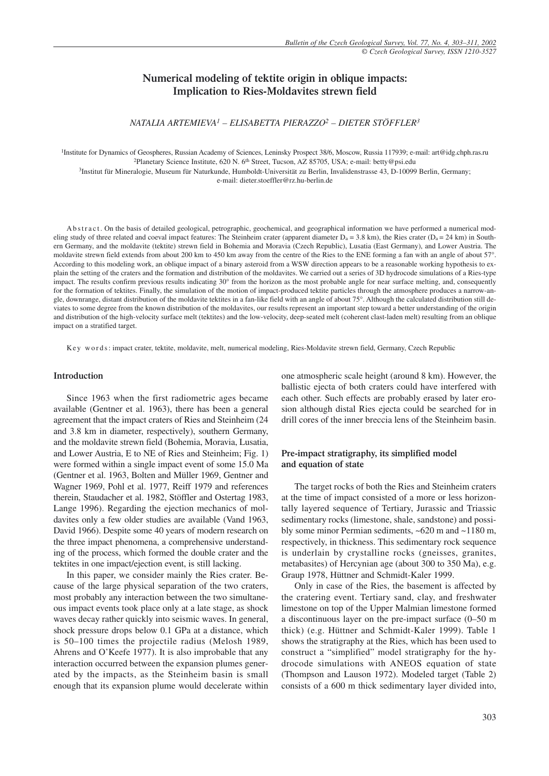# **Numerical modeling of tektite origin in oblique impacts: Implication to Ries-Moldavites strewn field**

*NATALIA ARTEMIEVA1 – ELISABETTA PIERAZZO2 – DIETER STÖFFLER3*

1Institute for Dynamics of Geospheres, Russian Academy of Sciences, Leninsky Prospect 38/6, Moscow, Russia 117939; e-mail: art@idg.chph.ras.ru <sup>2</sup>Planetary Science Institute, 620 N. 6<sup>th</sup> Street, Tucson, AZ 85705, USA; e-mail: betty@psi.edu

3Institut für Mineralogie, Museum für Naturkunde, Humboldt-Universität zu Berlin, Invalidenstrasse 43, D-10099 Berlin, Germany; e-mail: dieter.stoeffler@rz.hu-berlin.de

A b stract. On the basis of detailed geological, petrographic, geochemical, and geographical information we have performed a numerical modeling study of three related and coeval impact features: The Steinheim crater (apparent diameter  $D_a = 3.8$  km), the Ries crater ( $D_a = 24$  km) in Southern Germany, and the moldavite (tektite) strewn field in Bohemia and Moravia (Czech Republic), Lusatia (East Germany), and Lower Austria. The moldavite strewn field extends from about 200 km to 450 km away from the centre of the Ries to the ENE forming a fan with an angle of about 57°. According to this modeling work, an oblique impact of a binary asteroid from a WSW direction appears to be a reasonable working hypothesis to explain the setting of the craters and the formation and distribution of the moldavites. We carried out a series of 3D hydrocode simulations of a Ries-type impact. The results confirm previous results indicating 30° from the horizon as the most probable angle for near surface melting, and, consequently for the formation of tektites. Finally, the simulation of the motion of impact-produced tektite particles through the atmosphere produces a narrow-angle, downrange, distant distribution of the moldavite tektites in a fan-like field with an angle of about 75°. Although the calculated distribution still deviates to some degree from the known distribution of the moldavites, our results represent an important step toward a better understanding of the origin and distribution of the high-velocity surface melt (tektites) and the low-velocity, deep-seated melt (coherent clast-laden melt) resulting from an oblique

Key words: impact crater, tektite, moldavite, melt, numerical modeling, Ries-Moldavite strewn field, Germany, Czech Republic

### **Introduction**

impact on a stratified target.

Since 1963 when the first radiometric ages became available (Gentner et al. 1963), there has been a general agreement that the impact craters of Ries and Steinheim (24 and 3.8 km in diameter, respectively), southern Germany, and the moldavite strewn field (Bohemia, Moravia, Lusatia, and Lower Austria, E to NE of Ries and Steinheim; Fig. 1) were formed within a single impact event of some 15.0 Ma (Gentner et al. 1963, Bolten and Müller 1969, Gentner and Wagner 1969, Pohl et al. 1977, Reiff 1979 and references therein, Staudacher et al. 1982, Stöffler and Ostertag 1983, Lange 1996). Regarding the ejection mechanics of moldavites only a few older studies are available (Vand 1963, David 1966). Despite some 40 years of modern research on the three impact phenomena, a comprehensive understanding of the process, which formed the double crater and the tektites in one impact/ejection event, is still lacking.

In this paper, we consider mainly the Ries crater. Because of the large physical separation of the two craters, most probably any interaction between the two simultaneous impact events took place only at a late stage, as shock waves decay rather quickly into seismic waves. In general, shock pressure drops below 0.1 GPa at a distance, which is 50–100 times the projectile radius (Melosh 1989, Ahrens and O'Keefe 1977). It is also improbable that any interaction occurred between the expansion plumes generated by the impacts, as the Steinheim basin is small enough that its expansion plume would decelerate within one atmospheric scale height (around 8 km). However, the ballistic ejecta of both craters could have interfered with each other. Such effects are probably erased by later erosion although distal Ries ejecta could be searched for in drill cores of the inner breccia lens of the Steinheim basin.

# **Pre-impact stratigraphy, its simplified model and equation of state**

The target rocks of both the Ries and Steinheim craters at the time of impact consisted of a more or less horizontally layered sequence of Tertiary, Jurassic and Triassic sedimentary rocks (limestone, shale, sandstone) and possibly some minor Permian sediments, ~620 m and ~1180 m, respectively, in thickness. This sedimentary rock sequence is underlain by crystalline rocks (gneisses, granites, metabasites) of Hercynian age (about 300 to 350 Ma), e.g. Graup 1978, Hüttner and Schmidt-Kaler 1999.

Only in case of the Ries, the basement is affected by the cratering event. Tertiary sand, clay, and freshwater limestone on top of the Upper Malmian limestone formed a discontinuous layer on the pre-impact surface (0–50 m thick) (e.g. Hüttner and Schmidt-Kaler 1999). Table 1 shows the stratigraphy at the Ries, which has been used to construct a "simplified" model stratigraphy for the hydrocode simulations with ANEOS equation of state (Thompson and Lauson 1972). Modeled target (Table 2) consists of a 600 m thick sedimentary layer divided into,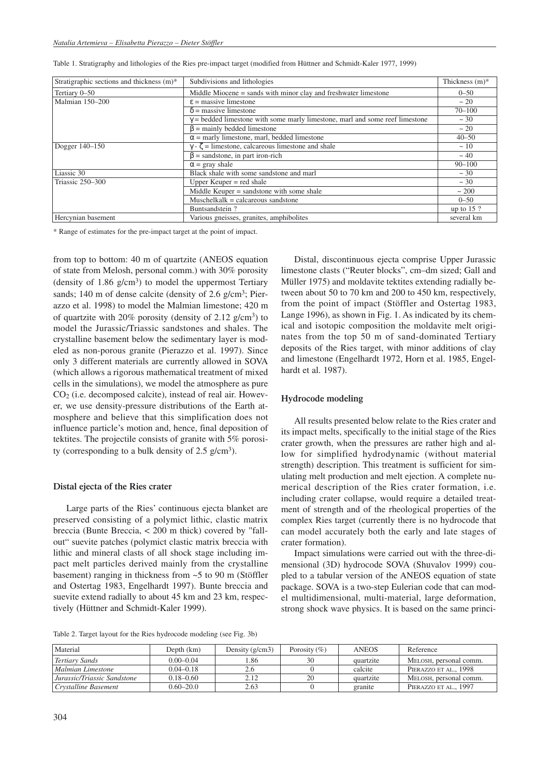| Stratigraphic sections and thickness (m)* | Subdivisions and lithologies                                                        | Thickness $(m)^*$ |
|-------------------------------------------|-------------------------------------------------------------------------------------|-------------------|
| Tertiary 0-50                             | Middle Miocene = sands with minor clay and freshwater limestone                     | $0 - 50$          |
| Malmian 150-200                           | $\epsilon$ = massive limestone                                                      | $~\sim 20$        |
|                                           | $\delta$ = massive limestone                                                        | $70 - 100$        |
|                                           | $\gamma$ = bedded limestone with some marly limestone, marl and some reef limestone | $\sim$ 30         |
|                                           | $\beta$ = mainly bedded limestone                                                   | $~\sim 20$        |
|                                           | $\alpha$ = marly limestone, marl, bedded limestone                                  | $40 - 50$         |
| Dogger 140-150                            | $\gamma$ - $\zeta$ = limestone, calcareous limestone and shale                      | ~10               |
|                                           | $\beta$ = sandstone, in part iron-rich                                              | $~10^{-4}$        |
|                                           | $\alpha$ = gray shale                                                               | $90 - 100$        |
| Liassic 30                                | Black shale with some sandstone and marl                                            | $\sim$ 30         |
| Triassic 250-300                          | Upper Keuper $=$ red shale                                                          | ~1.30             |
|                                           | Middle Keuper = sandstone with some shale                                           | ~100              |
|                                           | $Muschelkalk = calcareous sandstone$                                                | $0 - 50$          |
|                                           | Buntsandstein?                                                                      | up to $15$ ?      |
| Hercynian basement                        | Various gneisses, granites, amphibolites                                            | several km        |

\* Range of estimates for the pre-impact target at the point of impact.

from top to bottom: 40 m of quartzite (ANEOS equation of state from Melosh, personal comm.) with 30% porosity (density of  $1.86$  g/cm<sup>3</sup>) to model the uppermost Tertiary sands; 140 m of dense calcite (density of 2.6 g/cm<sup>3</sup>; Pierazzo et al. 1998) to model the Malmian limestone; 420 m of quartzite with 20% porosity (density of 2.12  $g/cm^3$ ) to model the Jurassic/Triassic sandstones and shales. The crystalline basement below the sedimentary layer is modeled as non-porous granite (Pierazzo et al. 1997). Since only 3 different materials are currently allowed in SOVA (which allows a rigorous mathematical treatment of mixed cells in the simulations), we model the atmosphere as pure CO2 (i.e. decomposed calcite), instead of real air. However, we use density-pressure distributions of the Earth atmosphere and believe that this simplification does not influence particle's motion and, hence, final deposition of tektites. The projectile consists of granite with 5% porosity (corresponding to a bulk density of  $2.5$  g/cm<sup>3</sup>).

#### **Distal ejecta of the Ries crater**

Large parts of the Ries' continuous ejecta blanket are preserved consisting of a polymict lithic, clastic matrix breccia (Bunte Breccia, < 200 m thick) covered by "fallout" suevite patches (polymict clastic matrix breccia with lithic and mineral clasts of all shock stage including impact melt particles derived mainly from the crystalline basement) ranging in thickness from ~5 to 90 m (Stöffler and Ostertag 1983, Engelhardt 1997). Bunte breccia and suevite extend radially to about 45 km and 23 km, respectively (Hüttner and Schmidt-Kaler 1999).

Distal, discontinuous ejecta comprise Upper Jurassic limestone clasts ("Reuter blocks", cm–dm sized; Gall and Müller 1975) and moldavite tektites extending radially between about 50 to 70 km and 200 to 450 km, respectively, from the point of impact (Stöffler and Ostertag 1983, Lange 1996), as shown in Fig. 1. As indicated by its chemical and isotopic composition the moldavite melt originates from the top 50 m of sand-dominated Tertiary deposits of the Ries target, with minor additions of clay and limestone (Engelhardt 1972, Horn et al. 1985, Engelhardt et al. 1987).

# **Hydrocode modeling**

All results presented below relate to the Ries crater and its impact melts, specifically to the initial stage of the Ries crater growth, when the pressures are rather high and allow for simplified hydrodynamic (without material strength) description. This treatment is sufficient for simulating melt production and melt ejection. A complete numerical description of the Ries crater formation, i.e. including crater collapse, would require a detailed treatment of strength and of the rheological properties of the complex Ries target (currently there is no hydrocode that can model accurately both the early and late stages of crater formation).

Impact simulations were carried out with the three-dimensional (3D) hydrocode SOVA (Shuvalov 1999) coupled to a tabular version of the ANEOS equation of state package. SOVA is a two-step Eulerian code that can model multidimensional, multi-material, large deformation, strong shock wave physics. It is based on the same princi-

Table 2. Target layout for the Ries hydrocode modeling (see Fig. 3b)

| Material                    | Depth $(km)$  | Density $(g/cm3)$ | Porosity $(\% )$ | <b>ANEOS</b> | Reference              |
|-----------------------------|---------------|-------------------|------------------|--------------|------------------------|
| Tertiary Sands              | $0.00 - 0.04$ | .86               | 30               | quartzite    | MELOSH, personal comm. |
| Malmian Limestone           | $0.04 - 0.18$ | 2.6               |                  | calcite      | PIERAZZO ET AL., 1998  |
| Jurassic/Triassic Sandstone | $0.18 - 0.60$ | 2.12              | 20               | quartzite    | MELOSH, personal comm. |
| Crystalline Basement        | $0.60 - 20.0$ | 2.63              |                  | granite      | PIERAZZO ET AL., 1997  |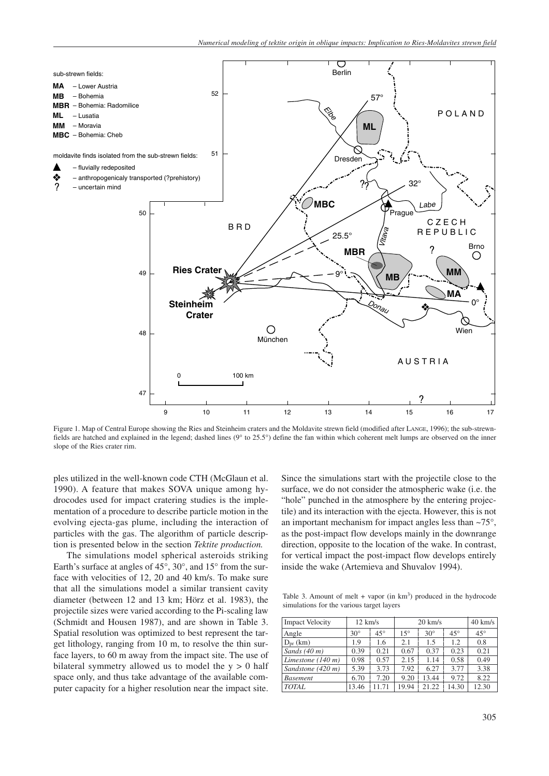

Figure 1. Map of Central Europe showing the Ries and Steinheim craters and the Moldavite strewn field (modified after LANGE, 1996); the sub-strewnfields are hatched and explained in the legend; dashed lines (9° to 25.5°) define the fan within which coherent melt lumps are observed on the inner slope of the Ries crater rim.

ples utilized in the well-known code CTH (McGlaun et al. 1990). A feature that makes SOVA unique among hydrocodes used for impact cratering studies is the implementation of a procedure to describe particle motion in the evolving ejecta-gas plume, including the interaction of particles with the gas. The algorithm of particle description is presented below in the section *Tektite production.*

The simulations model spherical asteroids striking Earth's surface at angles of 45°, 30°, and 15° from the surface with velocities of 12, 20 and 40 km/s. To make sure that all the simulations model a similar transient cavity diameter (between 12 and 13 km; Hörz et al. 1983), the projectile sizes were varied according to the Pi-scaling law (Schmidt and Housen 1987), and are shown in Table 3. Spatial resolution was optimized to best represent the target lithology, ranging from 10 m, to resolve the thin surface layers, to 60 m away from the impact site. The use of bilateral symmetry allowed us to model the  $y > 0$  half space only, and thus take advantage of the available computer capacity for a higher resolution near the impact site.

Since the simulations start with the projectile close to the surface, we do not consider the atmospheric wake (i.e. the "hole" punched in the atmosphere by the entering projectile) and its interaction with the ejecta. However, this is not an important mechanism for impact angles less than ~75°, as the post-impact flow develops mainly in the downrange direction, opposite to the location of the wake. In contrast, for vertical impact the post-impact flow develops entirely inside the wake (Artemieva and Shuvalov 1994).

Table 3. Amount of melt  $+$  vapor (in  $km<sup>3</sup>$ ) produced in the hydrocode simulations for the various target layers

| <b>Impact Velocity</b>      | $12 \text{ km/s}$ |              | $20 \text{ km/s}$ |            |              | $40 \text{ km/s}$ |
|-----------------------------|-------------------|--------------|-------------------|------------|--------------|-------------------|
| Angle                       | $30^\circ$        | $45^{\circ}$ | $15^\circ$        | $30^\circ$ | $45^{\circ}$ | $45^{\circ}$      |
| $D_{\rm pr}$ (km)           | 1.9               | 1.6          | 2.1               | 1.5        | 1.2          | 0.8               |
| Sands $(40 m)$              | 0.39              | 0.21         | 0.67              | 0.37       | 0.23         | 0.21              |
| Limestone $(140 \text{ m})$ | 0.98              | 0.57         | 2.15              | 1.14       | 0.58         | 0.49              |
| Sandstone (420 m)           | 5.39              | 3.73         | 7.92              | 6.27       | 3.77         | 3.38              |
| <b>Basement</b>             | 6.70              | 7.20         | 9.20              | 13.44      | 9.72         | 8.22              |
| TOTAL                       | 13.46             | 11.71        | 19.94             | 21.22      | 14.30        | 12.30             |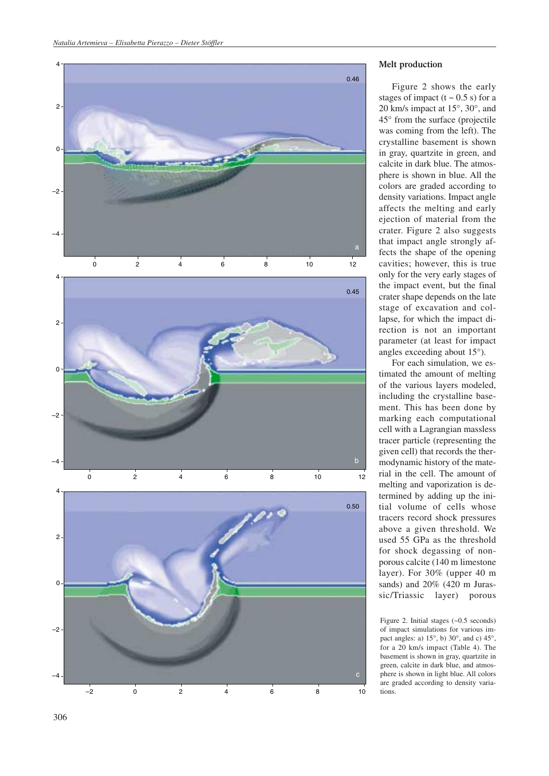

# **Melt production**

Figure 2 shows the early stages of impact  $(t \sim 0.5 \text{ s})$  for a 20 km/s impact at 15°, 30°, and 45° from the surface (projectile was coming from the left). The crystalline basement is shown in gray, quartzite in green, and calcite in dark blue. The atmosphere is shown in blue. All the colors are graded according to density variations. Impact angle affects the melting and early ejection of material from the crater. Figure 2 also suggests that impact angle strongly affects the shape of the opening cavities; however, this is true only for the very early stages of the impact event, but the final crater shape depends on the late stage of excavation and collapse, for which the impact direction is not an important parameter (at least for impact angles exceeding about 15°).

For each simulation, we estimated the amount of melting of the various layers modeled, including the crystalline basement. This has been done by marking each computational cell with a Lagrangian massless tracer particle (representing the given cell) that records the thermodynamic history of the material in the cell. The amount of melting and vaporization is determined by adding up the initial volume of cells whose tracers record shock pressures above a given threshold. We used 55 GPa as the threshold for shock degassing of nonporous calcite (140 m limestone layer). For 30% (upper 40 m sands) and 20% (420 m Jurassic/Triassic layer) porous

Figure 2. Initial stages (~0.5 seconds) of impact simulations for various impact angles: a) 15°, b) 30°, and c) 45°, for a 20 km/s impact (Table 4). The basement is shown in gray, quartzite in green, calcite in dark blue, and atmosphere is shown in light blue. All colors are graded according to density variations.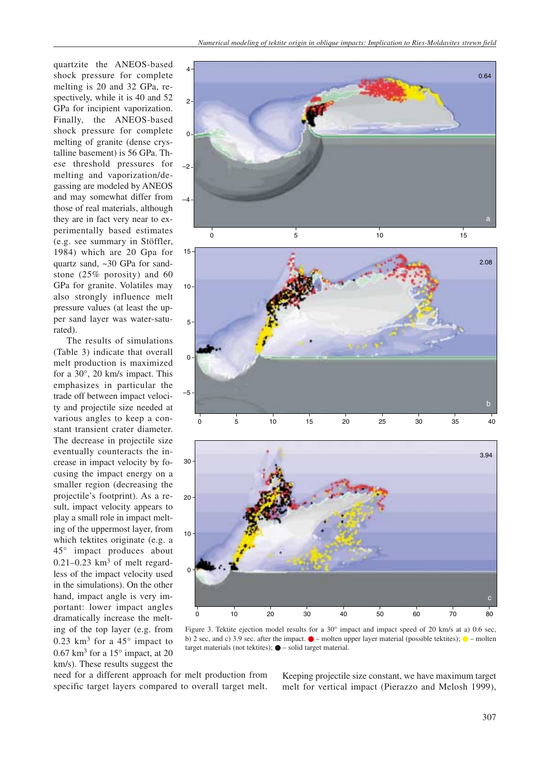quartzite the ANEOS-based shock pressure for complete melting is 20 and 32 GPa, respectively, while it is 40 and 52 GPa for incipient vaporization. Finally, the ANEOS-based shock pressure for complete melting of granite (dense crystalline basement) is 56 GPa. These threshold pressures for melting and vaporization/degassing are modeled by ANEOS and may somewhat differ from those of real materials, although they are in fact very near to experimentally based estimates (e.g. see summary in Stöffler, 1984) which are 20 Gpa for quartz sand, ~30 GPa for sandstone (25% porosity) and 60 GPa for granite. Volatiles may also strongly influence melt pressure values (at least the upper sand layer was water-saturated).

The results of simulations (Table 3) indicate that overall melt production is maximized for a 30°, 20 km/s impact. This emphasizes in particular the trade off between impact velocity and projectile size needed at various angles to keep a constant transient crater diameter. The decrease in projectile size eventually counteracts the increase in impact velocity by focusing the impact energy on a smaller region (decreasing the projectile's footprint). As a result, impact velocity appears to play a small role in impact melting of the uppermost layer, from which tektites originate (e.g. a 45° impact produces about  $0.21 - 0.23$  km<sup>3</sup> of melt regardless of the impact velocity used in the simulations). On the other hand, impact angle is very important: lower impact angles dramatically increase the melting of the top layer (e.g. from 0.23 km<sup>3</sup> for a  $45^{\circ}$  impact to  $0.67$  km<sup>3</sup> for a 15 $^{\circ}$  impact, at 20 km/s). These results suggest the







Figure 3. Tektite ejection model results for a 30° impact and impact speed of 20 km/s at a) 0.6 sec, b) 2 sec, and c) 3.9 sec. after the impact.  $\bullet$  – molten upper layer material (possible tektites);  $\bullet$  – molten target materials (not tektites); ● – solid target material.

need for a different approach for melt production from specific target layers compared to overall target melt. Keeping projectile size constant, we have maximum target melt for vertical impact (Pierazzo and Melosh 1999),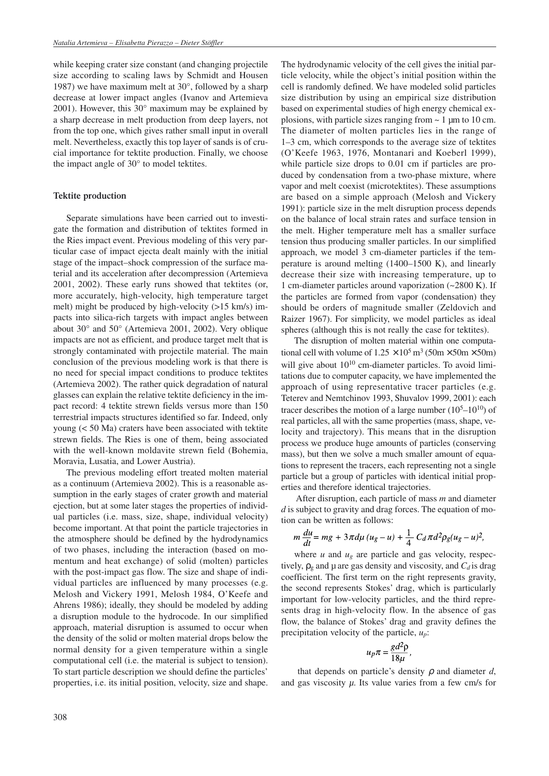while keeping crater size constant (and changing projectile size according to scaling laws by Schmidt and Housen 1987) we have maximum melt at 30°, followed by a sharp decrease at lower impact angles (Ivanov and Artemieva 2001). However, this 30° maximum may be explained by a sharp decrease in melt production from deep layers, not from the top one, which gives rather small input in overall melt. Nevertheless, exactly this top layer of sands is of crucial importance for tektite production. Finally, we choose the impact angle of 30° to model tektites.

# **Tektite production**

Separate simulations have been carried out to investigate the formation and distribution of tektites formed in the Ries impact event. Previous modeling of this very particular case of impact ejecta dealt mainly with the initial stage of the impact–shock compression of the surface material and its acceleration after decompression (Artemieva 2001, 2002). These early runs showed that tektites (or, more accurately, high-velocity, high temperature target melt) might be produced by high-velocity (>15 km/s) impacts into silica-rich targets with impact angles between about 30° and 50° (Artemieva 2001, 2002). Very oblique impacts are not as efficient, and produce target melt that is strongly contaminated with projectile material. The main conclusion of the previous modeling work is that there is no need for special impact conditions to produce tektites (Artemieva 2002). The rather quick degradation of natural glasses can explain the relative tektite deficiency in the impact record: 4 tektite strewn fields versus more than 150 terrestrial impacts structures identified so far. Indeed, only young (< 50 Ma) craters have been associated with tektite strewn fields. The Ries is one of them, being associated with the well-known moldavite strewn field (Bohemia, Moravia, Lusatia, and Lower Austria).

The previous modeling effort treated molten material as a continuum (Artemieva 2002). This is a reasonable assumption in the early stages of crater growth and material ejection, but at some later stages the properties of individual particles (i.e. mass, size, shape, individual velocity) become important. At that point the particle trajectories in the atmosphere should be defined by the hydrodynamics of two phases, including the interaction (based on momentum and heat exchange) of solid (molten) particles with the post-impact gas flow. The size and shape of individual particles are influenced by many processes (e.g. Melosh and Vickery 1991, Melosh 1984, O'Keefe and Ahrens 1986); ideally, they should be modeled by adding a disruption module to the hydrocode. In our simplified approach, material disruption is assumed to occur when the density of the solid or molten material drops below the normal density for a given temperature within a single computational cell (i.e. the material is subject to tension). To start particle description we should define the particles' properties, i.e. its initial position, velocity, size and shape. The hydrodynamic velocity of the cell gives the initial particle velocity, while the object's initial position within the cell is randomly defined. We have modeled solid particles size distribution by using an empirical size distribution based on experimental studies of high energy chemical explosions, with particle sizes ranging from  $\sim 1 \mu$ m to 10 cm. The diameter of molten particles lies in the range of 1–3 cm, which corresponds to the average size of tektites (O'Keefe 1963, 1976, Montanari and Koeberl 1999), while particle size drops to 0.01 cm if particles are produced by condensation from a two-phase mixture, where vapor and melt coexist (microtektites). These assumptions are based on a simple approach (Melosh and Vickery 1991): particle size in the melt disruption process depends on the balance of local strain rates and surface tension in the melt. Higher temperature melt has a smaller surface tension thus producing smaller particles. In our simplified approach, we model 3 cm-diameter particles if the temperature is around melting (1400–1500 K), and linearly decrease their size with increasing temperature, up to 1 cm-diameter particles around vaporization (~2800 K). If the particles are formed from vapor (condensation) they should be orders of magnitude smaller (Zeldovich and Raizer 1967). For simplicity, we model particles as ideal spheres (although this is not really the case for tektites).

The disruption of molten material within one computational cell with volume of  $1.25 \times 10^5$  m<sup>3</sup> (50m  $\times$  50m  $\times$  50m) will give about  $10^{10}$  cm-diameter particles. To avoid limitations due to computer capacity, we have implemented the approach of using representative tracer particles (e.g. Teterev and Nemtchinov 1993, Shuvalov 1999, 2001): each tracer describes the motion of a large number  $(10^5-10^{10})$  of real particles, all with the same properties (mass, shape, velocity and trajectory). This means that in the disruption process we produce huge amounts of particles (conserving mass), but then we solve a much smaller amount of equations to represent the tracers, each representing not a single particle but a group of particles with identical initial properties and therefore identical trajectories.

After disruption, each particle of mass *m* and diameter *d* is subject to gravity and drag forces. The equation of motion can be written as follows:

$$
m\frac{du}{dt} = mg + 3\pi d\mu (u_g - u) + \frac{1}{4}C_d\pi d^2\rho_g (u_g - u)^2,
$$

where  $u$  and  $u_g$  are particle and gas velocity, respectively,  $\rho_{\rm g}$  and  $\mu$  are gas density and viscosity, and  $C_d$  is drag coefficient. The first term on the right represents gravity, the second represents Stokes' drag, which is particularly important for low-velocity particles, and the third represents drag in high-velocity flow. In the absence of gas flow, the balance of Stokes' drag and gravity defines the precipitation velocity of the particle, *up*:

$$
u_p \pi = \frac{gd^2 \rho}{18 \mu},
$$

that depends on particle's density  $\rho$  and diameter  $d$ , and gas viscosity  $\mu$ . Its value varies from a few cm/s for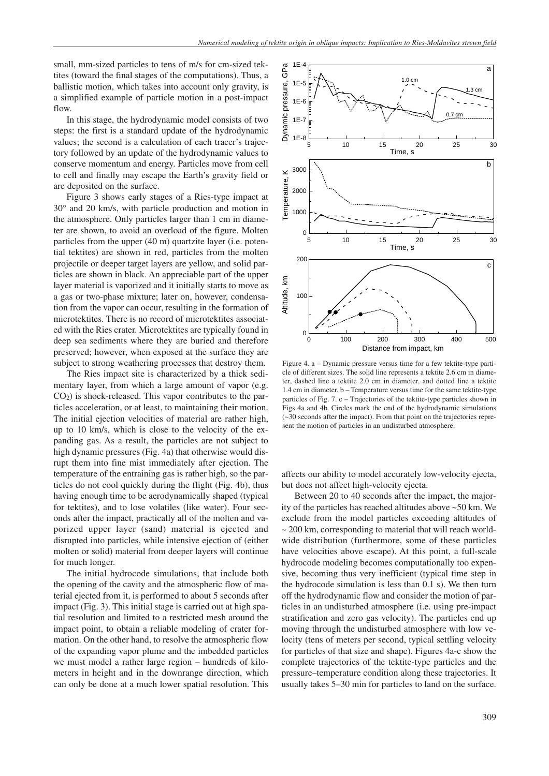small, mm-sized particles to tens of m/s for cm-sized tektites (toward the final stages of the computations). Thus, a ballistic motion, which takes into account only gravity, is a simplified example of particle motion in a post-impact flow.

In this stage, the hydrodynamic model consists of two steps: the first is a standard update of the hydrodynamic values; the second is a calculation of each tracer's trajectory followed by an update of the hydrodynamic values to conserve momentum and energy. Particles move from cell to cell and finally may escape the Earth's gravity field or are deposited on the surface.

Figure 3 shows early stages of a Ries-type impact at 30° and 20 km/s, with particle production and motion in the atmosphere. Only particles larger than 1 cm in diameter are shown, to avoid an overload of the figure. Molten particles from the upper (40 m) quartzite layer (i.e. potential tektites) are shown in red, particles from the molten projectile or deeper target layers are yellow, and solid particles are shown in black. An appreciable part of the upper layer material is vaporized and it initially starts to move as a gas or two-phase mixture; later on, however, condensation from the vapor can occur, resulting in the formation of microtektites. There is no record of microtektites associated with the Ries crater. Microtektites are typically found in deep sea sediments where they are buried and therefore preserved; however, when exposed at the surface they are subject to strong weathering processes that destroy them.

The Ries impact site is characterized by a thick sedimentary layer, from which a large amount of vapor (e.g. CO2) is shock-released. This vapor contributes to the particles acceleration, or at least, to maintaining their motion. The initial ejection velocities of material are rather high, up to 10 km/s, which is close to the velocity of the expanding gas. As a result, the particles are not subject to high dynamic pressures (Fig. 4a) that otherwise would disrupt them into fine mist immediately after ejection. The temperature of the entraining gas is rather high, so the particles do not cool quickly during the flight (Fig. 4b), thus having enough time to be aerodynamically shaped (typical for tektites), and to lose volatiles (like water). Four seconds after the impact, practically all of the molten and vaporized upper layer (sand) material is ejected and disrupted into particles, while intensive ejection of (either molten or solid) material from deeper layers will continue for much longer.

The initial hydrocode simulations, that include both the opening of the cavity and the atmospheric flow of material ejected from it, is performed to about 5 seconds after impact (Fig. 3). This initial stage is carried out at high spatial resolution and limited to a restricted mesh around the impact point, to obtain a reliable modeling of crater formation. On the other hand, to resolve the atmospheric flow of the expanding vapor plume and the imbedded particles we must model a rather large region – hundreds of kilometers in height and in the downrange direction, which can only be done at a much lower spatial resolution. This



Figure 4. a – Dynamic pressure versus time for a few tektite-type particle of different sizes. The solid line represents a tektite 2.6 cm in diameter, dashed line a tektite 2.0 cm in diameter, and dotted line a tektite 1.4 cm in diameter. b – Temperature versus time for the same tektite-type particles of Fig. 7. c – Trajectories of the tektite-type particles shown in Figs 4a and 4b. Circles mark the end of the hydrodynamic simulations (~30 seconds after the impact). From that point on the trajectories represent the motion of particles in an undisturbed atmosphere.

affects our ability to model accurately low-velocity ejecta, but does not affect high-velocity ejecta.

Between 20 to 40 seconds after the impact, the majority of the particles has reached altitudes above ~50 km. We exclude from the model particles exceeding altitudes of ~ 200 km, corresponding to material that will reach worldwide distribution (furthermore, some of these particles have velocities above escape). At this point, a full-scale hydrocode modeling becomes computationally too expensive, becoming thus very inefficient (typical time step in the hydrocode simulation is less than 0.1 s). We then turn off the hydrodynamic flow and consider the motion of particles in an undisturbed atmosphere (i.e. using pre-impact stratification and zero gas velocity). The particles end up moving through the undisturbed atmosphere with low velocity (tens of meters per second, typical settling velocity for particles of that size and shape). Figures 4a-c show the complete trajectories of the tektite-type particles and the pressure–temperature condition along these trajectories. It usually takes 5–30 min for particles to land on the surface.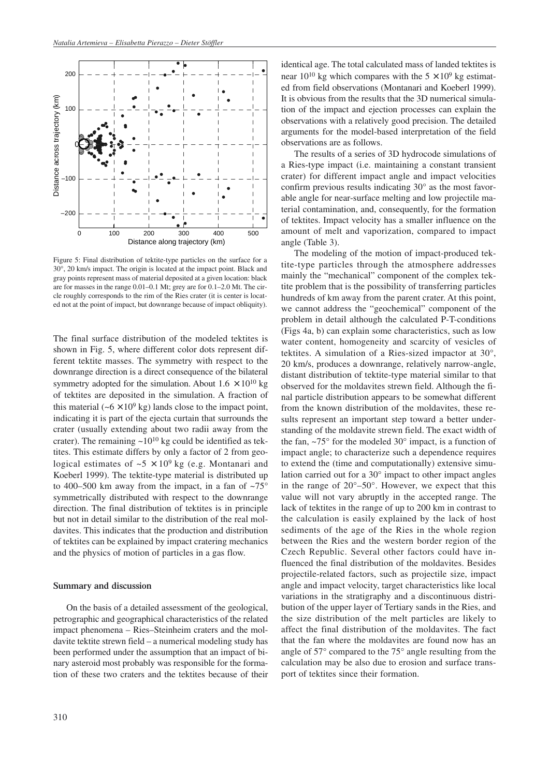

Figure 5: Final distribution of tektite-type particles on the surface for a 30°, 20 km/s impact. The origin is located at the impact point. Black and gray points represent mass of material deposited at a given location: black are for masses in the range 0.01–0.1 Mt; grey are for 0.1–2.0 Mt. The circle roughly corresponds to the rim of the Ries crater (it is center is located not at the point of impact, but downrange because of impact obliquity).

The final surface distribution of the modeled tektites is shown in Fig. 5, where different color dots represent different tektite masses. The symmetry with respect to the downrange direction is a direct consequence of the bilateral symmetry adopted for the simulation. About  $1.6 \times 10^{10}$  kg of tektites are deposited in the simulation. A fraction of this material ( $-6 \times 10^9$  kg) lands close to the impact point, indicating it is part of the ejecta curtain that surrounds the crater (usually extending about two radii away from the crater). The remaining  $\sim 10^{10}$  kg could be identified as tektites. This estimate differs by only a factor of 2 from geological estimates of  $\sim$  5  $\times$  10<sup>9</sup> kg (e.g. Montanari and Koeberl 1999). The tektite-type material is distributed up to 400–500 km away from the impact, in a fan of  $\sim 75^{\circ}$ symmetrically distributed with respect to the downrange direction. The final distribution of tektites is in principle but not in detail similar to the distribution of the real moldavites. This indicates that the production and distribution of tektites can be explained by impact cratering mechanics and the physics of motion of particles in a gas flow.

#### **Summary and discussion**

On the basis of a detailed assessment of the geological, petrographic and geographical characteristics of the related impact phenomena – Ries–Steinheim craters and the moldavite tektite strewn field – a numerical modeling study has been performed under the assumption that an impact of binary asteroid most probably was responsible for the formation of these two craters and the tektites because of their identical age. The total calculated mass of landed tektites is near  $10^{10}$  kg which compares with the  $5 \times 10^9$  kg estimated from field observations (Montanari and Koeberl 1999). It is obvious from the results that the 3D numerical simulation of the impact and ejection processes can explain the observations with a relatively good precision. The detailed arguments for the model-based interpretation of the field observations are as follows.

The results of a series of 3D hydrocode simulations of a Ries-type impact (i.e. maintaining a constant transient crater) for different impact angle and impact velocities confirm previous results indicating 30° as the most favorable angle for near-surface melting and low projectile material contamination, and, consequently, for the formation of tektites. Impact velocity has a smaller influence on the amount of melt and vaporization, compared to impact angle (Table 3).

The modeling of the motion of impact-produced tektite-type particles through the atmosphere addresses mainly the "mechanical" component of the complex tektite problem that is the possibility of transferring particles hundreds of km away from the parent crater. At this point, we cannot address the "geochemical" component of the problem in detail although the calculated P-T-conditions (Figs 4a, b) can explain some characteristics, such as low water content, homogeneity and scarcity of vesicles of tektites. A simulation of a Ries-sized impactor at 30°, 20 km/s, produces a downrange, relatively narrow-angle, distant distribution of tektite-type material similar to that observed for the moldavites strewn field. Although the final particle distribution appears to be somewhat different from the known distribution of the moldavites, these results represent an important step toward a better understanding of the moldavite strewn field. The exact width of the fan,  $\sim$ 75 $\degree$  for the modeled 30 $\degree$  impact, is a function of impact angle; to characterize such a dependence requires to extend the (time and computationally) extensive simulation carried out for a 30° impact to other impact angles in the range of 20°–50°. However, we expect that this value will not vary abruptly in the accepted range. The lack of tektites in the range of up to 200 km in contrast to the calculation is easily explained by the lack of host sediments of the age of the Ries in the whole region between the Ries and the western border region of the Czech Republic. Several other factors could have influenced the final distribution of the moldavites. Besides projectile-related factors, such as projectile size, impact angle and impact velocity, target characteristics like local variations in the stratigraphy and a discontinuous distribution of the upper layer of Tertiary sands in the Ries, and the size distribution of the melt particles are likely to affect the final distribution of the moldavites. The fact that the fan where the moldavites are found now has an angle of 57° compared to the 75° angle resulting from the calculation may be also due to erosion and surface transport of tektites since their formation.